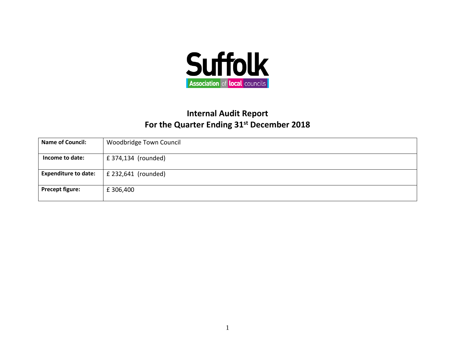

## **Internal Audit Report For the Quarter Ending 31st December 2018**

| <b>Name of Council:</b>     | <b>Woodbridge Town Council</b> |
|-----------------------------|--------------------------------|
| Income to date:             | £ 374,134 (rounded)            |
| <b>Expenditure to date:</b> | $£$ 232,641 (rounded)          |
| <b>Precept figure:</b>      | £ 306,400                      |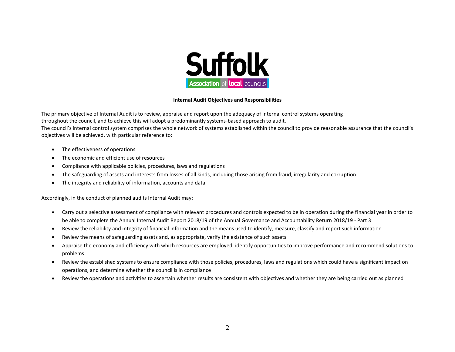

## **Internal Audit Objectives and Responsibilities**

The primary objective of Internal Audit is to review, appraise and report upon the adequacy of internal control systems operating throughout the council, and to achieve this will adopt a predominantly systems-based approach to audit.

The council's internal control system comprises the whole network of systems established within the council to provide reasonable assurance that the council's objectives will be achieved, with particular reference to:

- The effectiveness of operations
- The economic and efficient use of resources
- Compliance with applicable policies, procedures, laws and regulations
- The safeguarding of assets and interests from losses of all kinds, including those arising from fraud, irregularity and corruption
- The integrity and reliability of information, accounts and data

Accordingly, in the conduct of planned audits Internal Audit may:

- Carry out a selective assessment of compliance with relevant procedures and controls expected to be in operation during the financial year in order to be able to complete the Annual Internal Audit Report 2018/19 of the Annual Governance and Accountability Return 2018/19 - Part 3
- Review the reliability and integrity of financial information and the means used to identify, measure, classify and report such information
- Review the means of safeguarding assets and, as appropriate, verify the existence of such assets
- Appraise the economy and efficiency with which resources are employed, identify opportunities to improve performance and recommend solutions to problems
- Review the established systems to ensure compliance with those policies, procedures, laws and regulations which could have a significant impact on operations, and determine whether the council is in compliance
- Review the operations and activities to ascertain whether results are consistent with objectives and whether they are being carried out as planned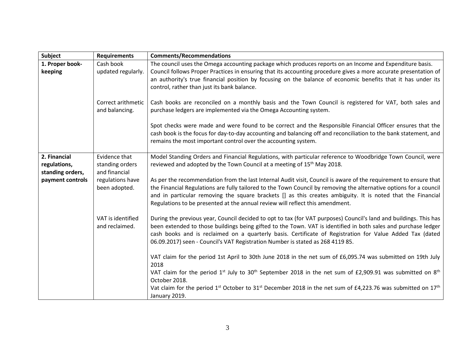| Subject                                          | <b>Requirements</b>                               | <b>Comments/Recommendations</b>                                                                                                                                                                                                                                                                                                                                                                                                        |
|--------------------------------------------------|---------------------------------------------------|----------------------------------------------------------------------------------------------------------------------------------------------------------------------------------------------------------------------------------------------------------------------------------------------------------------------------------------------------------------------------------------------------------------------------------------|
| 1. Proper book-<br>keeping                       | Cash book<br>updated regularly.                   | The council uses the Omega accounting package which produces reports on an Income and Expenditure basis.<br>Council follows Proper Practices in ensuring that its accounting procedure gives a more accurate presentation of<br>an authority's true financial position by focusing on the balance of economic benefits that it has under its<br>control, rather than just its bank balance.                                            |
|                                                  | Correct arithmetic<br>and balancing.              | Cash books are reconciled on a monthly basis and the Town Council is registered for VAT, both sales and<br>purchase ledgers are implemented via the Omega Accounting system.                                                                                                                                                                                                                                                           |
|                                                  |                                                   | Spot checks were made and were found to be correct and the Responsible Financial Officer ensures that the<br>cash book is the focus for day-to-day accounting and balancing off and reconciliation to the bank statement, and<br>remains the most important control over the accounting system.                                                                                                                                        |
| 2. Financial<br>regulations,<br>standing orders, | Evidence that<br>standing orders<br>and financial | Model Standing Orders and Financial Regulations, with particular reference to Woodbridge Town Council, were<br>reviewed and adopted by the Town Council at a meeting of 15 <sup>th</sup> May 2018.                                                                                                                                                                                                                                     |
| payment controls                                 | regulations have<br>been adopted.                 | As per the recommendation from the last Internal Audit visit, Council is aware of the requirement to ensure that<br>the Financial Regulations are fully tailored to the Town Council by removing the alternative options for a council<br>and in particular removing the square brackets [] as this creates ambiguity. It is noted that the Financial<br>Regulations to be presented at the annual review will reflect this amendment. |
|                                                  | VAT is identified<br>and reclaimed.               | During the previous year, Council decided to opt to tax (for VAT purposes) Council's land and buildings. This has<br>been extended to those buildings being gifted to the Town. VAT is identified in both sales and purchase ledger<br>cash books and is reclaimed on a quarterly basis. Certificate of Registration for Value Added Tax (dated<br>06.09.2017) seen - Council's VAT Registration Number is stated as 268 4119 85.      |
|                                                  |                                                   | VAT claim for the period 1st April to 30th June 2018 in the net sum of £6,095.74 was submitted on 19th July<br>2018                                                                                                                                                                                                                                                                                                                    |
|                                                  |                                                   | VAT claim for the period 1 <sup>st</sup> July to 30 <sup>th</sup> September 2018 in the net sum of £2,909.91 was submitted on 8 <sup>th</sup><br>October 2018.                                                                                                                                                                                                                                                                         |
|                                                  |                                                   | Vat claim for the period 1 <sup>st</sup> October to 31 <sup>st</sup> December 2018 in the net sum of £4,223.76 was submitted on 17 <sup>th</sup><br>January 2019.                                                                                                                                                                                                                                                                      |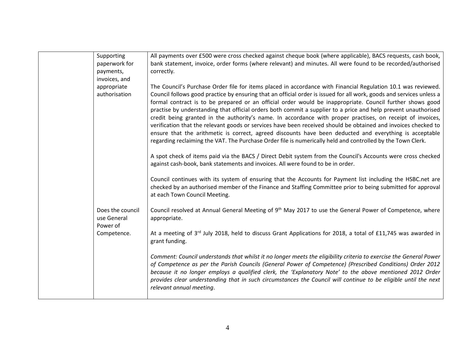| Supporting<br>paperwork for<br>payments,      | All payments over £500 were cross checked against cheque book (where applicable), BACS requests, cash book,<br>bank statement, invoice, order forms (where relevant) and minutes. All were found to be recorded/authorised<br>correctly.                                                                                                                                                                                                                                                                                                                                                                                                                                                                                                                                                                                                                                                                                       |
|-----------------------------------------------|--------------------------------------------------------------------------------------------------------------------------------------------------------------------------------------------------------------------------------------------------------------------------------------------------------------------------------------------------------------------------------------------------------------------------------------------------------------------------------------------------------------------------------------------------------------------------------------------------------------------------------------------------------------------------------------------------------------------------------------------------------------------------------------------------------------------------------------------------------------------------------------------------------------------------------|
| invoices, and<br>appropriate<br>authorisation | The Council's Purchase Order file for items placed in accordance with Financial Regulation 10.1 was reviewed.<br>Council follows good practice by ensuring that an official order is issued for all work, goods and services unless a<br>formal contract is to be prepared or an official order would be inappropriate. Council further shows good<br>practise by understanding that official orders both commit a supplier to a price and help prevent unauthorised<br>credit being granted in the authority's name. In accordance with proper practises, on receipt of invoices,<br>verification that the relevant goods or services have been received should be obtained and invoices checked to<br>ensure that the arithmetic is correct, agreed discounts have been deducted and everything is acceptable<br>regarding reclaiming the VAT. The Purchase Order file is numerically held and controlled by the Town Clerk. |
|                                               | A spot check of items paid via the BACS / Direct Debit system from the Council's Accounts were cross checked<br>against cash-book, bank statements and invoices. All were found to be in order.                                                                                                                                                                                                                                                                                                                                                                                                                                                                                                                                                                                                                                                                                                                                |
|                                               | Council continues with its system of ensuring that the Accounts for Payment list including the HSBC.net are<br>checked by an authorised member of the Finance and Staffing Committee prior to being submitted for approval<br>at each Town Council Meeting.                                                                                                                                                                                                                                                                                                                                                                                                                                                                                                                                                                                                                                                                    |
| Does the council<br>use General<br>Power of   | Council resolved at Annual General Meeting of 9 <sup>th</sup> May 2017 to use the General Power of Competence, where<br>appropriate.                                                                                                                                                                                                                                                                                                                                                                                                                                                                                                                                                                                                                                                                                                                                                                                           |
| Competence.                                   | At a meeting of 3rd July 2018, held to discuss Grant Applications for 2018, a total of £11,745 was awarded in<br>grant funding.                                                                                                                                                                                                                                                                                                                                                                                                                                                                                                                                                                                                                                                                                                                                                                                                |
|                                               | Comment: Council understands that whilst it no longer meets the eligibility criteria to exercise the General Power<br>of Competence as per the Parish Councils (General Power of Competence) (Prescribed Conditions) Order 2012<br>because it no longer employs a qualified clerk, the 'Explanatory Note' to the above mentioned 2012 Order<br>provides clear understanding that in such circumstances the Council will continue to be eligible until the next<br>relevant annual meeting.                                                                                                                                                                                                                                                                                                                                                                                                                                     |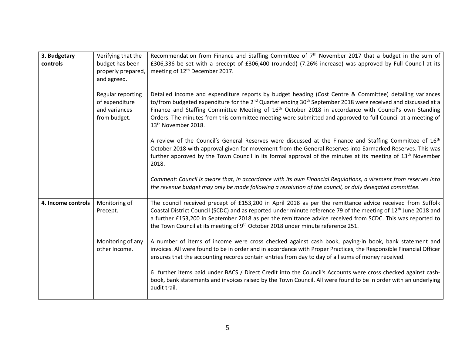| 3. Budgetary<br>controls | Verifying that the<br>budget has been<br>properly prepared,<br>and agreed. | Recommendation from Finance and Staffing Committee of $7th$ November 2017 that a budget in the sum of<br>£306,336 be set with a precept of £306,400 (rounded) (7.26% increase) was approved by Full Council at its<br>meeting of 12 <sup>th</sup> December 2017.                                                                                                                                                                                                                                                       |
|--------------------------|----------------------------------------------------------------------------|------------------------------------------------------------------------------------------------------------------------------------------------------------------------------------------------------------------------------------------------------------------------------------------------------------------------------------------------------------------------------------------------------------------------------------------------------------------------------------------------------------------------|
|                          | Regular reporting<br>of expenditure<br>and variances<br>from budget.       | Detailed income and expenditure reports by budget heading (Cost Centre & Committee) detailing variances<br>to/from budgeted expenditure for the 2 <sup>nd</sup> Quarter ending 30 <sup>th</sup> September 2018 were received and discussed at a<br>Finance and Staffing Committee Meeting of 16 <sup>th</sup> October 2018 in accordance with Council's own Standing<br>Orders. The minutes from this committee meeting were submitted and approved to full Council at a meeting of<br>13 <sup>th</sup> November 2018. |
|                          |                                                                            | A review of the Council's General Reserves were discussed at the Finance and Staffing Committee of 16 <sup>th</sup><br>October 2018 with approval given for movement from the General Reserves into Earmarked Reserves. This was<br>further approved by the Town Council in its formal approval of the minutes at its meeting of 13 <sup>th</sup> November<br>2018.                                                                                                                                                    |
|                          |                                                                            | Comment: Council is aware that, in accordance with its own Financial Regulations, a virement from reserves into<br>the revenue budget may only be made following a resolution of the council, or duly delegated committee.                                                                                                                                                                                                                                                                                             |
| 4. Income controls       | Monitoring of<br>Precept.                                                  | The council received precept of £153,200 in April 2018 as per the remittance advice received from Suffolk<br>Coastal District Council (SCDC) and as reported under minute reference 79 of the meeting of 12 <sup>th</sup> June 2018 and<br>a further £153,200 in September 2018 as per the remittance advice received from SCDC. This was reported to<br>the Town Council at its meeting of 9 <sup>th</sup> October 2018 under minute reference 251.                                                                   |
|                          | Monitoring of any<br>other Income.                                         | A number of items of income were cross checked against cash book, paying-in book, bank statement and<br>invoices. All were found to be in order and in accordance with Proper Practices, the Responsible Financial Officer<br>ensures that the accounting records contain entries from day to day of all sums of money received.                                                                                                                                                                                       |
|                          |                                                                            | 6 further items paid under BACS / Direct Credit into the Council's Accounts were cross checked against cash-<br>book, bank statements and invoices raised by the Town Council. All were found to be in order with an underlying<br>audit trail.                                                                                                                                                                                                                                                                        |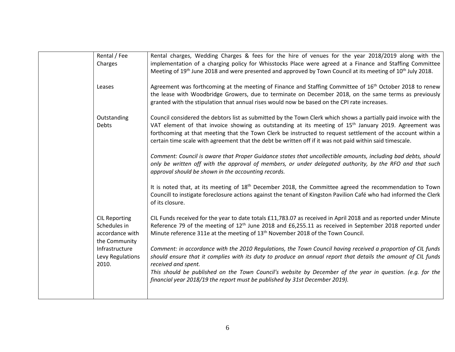| Rental / Fee<br>Charges                                                  | Rental charges, Wedding Charges & fees for the hire of venues for the year 2018/2019 along with the<br>implementation of a charging policy for Whisstocks Place were agreed at a Finance and Staffing Committee<br>Meeting of 19 <sup>th</sup> June 2018 and were presented and approved by Town Council at its meeting of 10 <sup>th</sup> July 2018.                                                                                                           |
|--------------------------------------------------------------------------|------------------------------------------------------------------------------------------------------------------------------------------------------------------------------------------------------------------------------------------------------------------------------------------------------------------------------------------------------------------------------------------------------------------------------------------------------------------|
| Leases                                                                   | Agreement was forthcoming at the meeting of Finance and Staffing Committee of 16 <sup>th</sup> October 2018 to renew<br>the lease with Woodbridge Growers, due to terminate on December 2018, on the same terms as previously<br>granted with the stipulation that annual rises would now be based on the CPI rate increases.                                                                                                                                    |
| Outstanding<br>Debts                                                     | Council considered the debtors list as submitted by the Town Clerk which shows a partially paid invoice with the<br>VAT element of that invoice showing as outstanding at its meeting of 15 <sup>th</sup> January 2019. Agreement was<br>forthcoming at that meeting that the Town Clerk be instructed to request settlement of the account within a<br>certain time scale with agreement that the debt be written off if it was not paid within said timescale. |
|                                                                          | Comment: Council is aware that Proper Guidance states that uncollectible amounts, including bad debts, should<br>only be written off with the approval of members, or under delegated authority, by the RFO and that such<br>approval should be shown in the accounting records.                                                                                                                                                                                 |
|                                                                          | It is noted that, at its meeting of $18th$ December 2018, the Committee agreed the recommendation to Town<br>Councill to instigate foreclosure actions against the tenant of Kingston Pavilion Café who had informed the Clerk<br>of its closure.                                                                                                                                                                                                                |
| <b>CIL Reporting</b><br>Schedules in<br>accordance with<br>the Community | CIL Funds received for the year to date totals £11,783.07 as received in April 2018 and as reported under Minute<br>Reference 79 of the meeting of 12 <sup>th</sup> June 2018 and £6,255.11 as received in September 2018 reported under<br>Minute reference 311e at the meeting of 13 <sup>th</sup> November 2018 of the Town Council.                                                                                                                          |
| Infrastructure<br>Levy Regulations<br>2010.                              | Comment: in accordance with the 2010 Regulations, the Town Council having received a proportion of CIL funds<br>should ensure that it complies with its duty to produce an annual report that details the amount of CIL funds<br>received and spent.                                                                                                                                                                                                             |
|                                                                          | This should be published on the Town Council's website by December of the year in question. (e.g. for the<br>financial year 2018/19 the report must be published by 31st December 2019).                                                                                                                                                                                                                                                                         |
|                                                                          |                                                                                                                                                                                                                                                                                                                                                                                                                                                                  |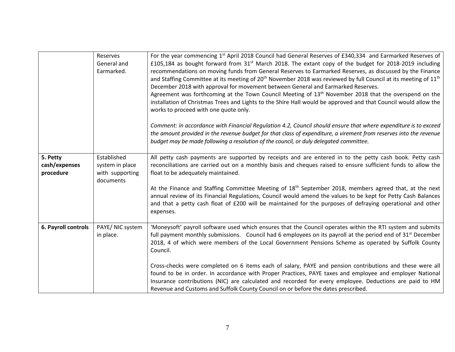|                                        | Reserves<br>General and<br>Earmarked.                          | For the year commencing 1 <sup>st</sup> April 2018 Council had General Reserves of £340,334 and Earmarked Reserves of<br>£105,184 as bought forward from $31^{st}$ March 2018. The extant copy of the budget for 2018-2019 including<br>recommendations on moving funds from General Reserves to Earmarked Reserves, as discussed by the Finance<br>and Staffing Committee at its meeting of 20 <sup>th</sup> November 2018 was reviewed by full Council at its meeting of 11 <sup>th</sup><br>December 2018 with approval for movement between General and Earmarked Reserves.<br>Agreement was forthcoming at the Town Council Meeting of $13th$ November 2018 that the overspend on the<br>installation of Christmas Trees and Lights to the Shire Hall would be approved and that Council would allow the<br>works to proceed with one quote only. |
|----------------------------------------|----------------------------------------------------------------|--------------------------------------------------------------------------------------------------------------------------------------------------------------------------------------------------------------------------------------------------------------------------------------------------------------------------------------------------------------------------------------------------------------------------------------------------------------------------------------------------------------------------------------------------------------------------------------------------------------------------------------------------------------------------------------------------------------------------------------------------------------------------------------------------------------------------------------------------------|
|                                        |                                                                | Comment: in accordance with Financial Regulation 4.2, Council should ensure that where expenditure is to exceed<br>the amount provided in the revenue budget for that class of expenditure, a virement from reserves into the revenue<br>budget may be made following a resolution of the council, or duly delegated committee.                                                                                                                                                                                                                                                                                                                                                                                                                                                                                                                        |
| 5. Petty<br>cash/expenses<br>procedure | Established<br>system in place<br>with supporting<br>documents | All petty cash payments are supported by receipts and are entered in to the petty cash book. Petty cash<br>reconciliations are carried out on a monthly basis and cheques raised to ensure sufficient funds to allow the<br>float to be adequately maintained.                                                                                                                                                                                                                                                                                                                                                                                                                                                                                                                                                                                         |
|                                        |                                                                | At the Finance and Staffing Committee Meeting of $18th$ September 2018, members agreed that, at the next<br>annual review of its Financial Regulations, Council would amend the values to be kept for Petty Cash Balances<br>and that a petty cash float of £200 will be maintained for the purposes of defraying operational and other<br>expenses.                                                                                                                                                                                                                                                                                                                                                                                                                                                                                                   |
| 6. Payroll controls                    | PAYE/ NIC system<br>in place.                                  | 'Moneysoft' payroll software used which ensures that the Council operates within the RTI system and submits<br>full payment monthly submissions. Council had 6 employees on its payroll at the period end of 31 <sup>st</sup> December<br>2018, 4 of which were members of the Local Government Pensions Scheme as operated by Suffolk County<br>Council.                                                                                                                                                                                                                                                                                                                                                                                                                                                                                              |
|                                        |                                                                | Cross-checks were completed on 6 items each of salary, PAYE and pension contributions and these were all<br>found to be in order. In accordance with Proper Practices, PAYE taxes and employee and employer National<br>Insurance contributions (NIC) are calculated and recorded for every employee. Deductions are paid to HM<br>Revenue and Customs and Suffolk County Council on or before the dates prescribed.                                                                                                                                                                                                                                                                                                                                                                                                                                   |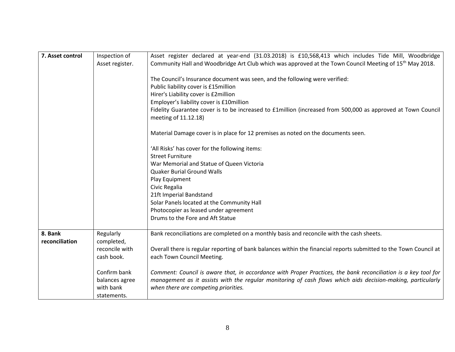| 7. Asset control          | Inspection of<br>Asset register. | Asset register declared at year-end (31.03.2018) is £10,568,413 which includes Tide Mill, Woodbridge<br>Community Hall and Woodbridge Art Club which was approved at the Town Council Meeting of 15 <sup>th</sup> May 2018. |
|---------------------------|----------------------------------|-----------------------------------------------------------------------------------------------------------------------------------------------------------------------------------------------------------------------------|
|                           |                                  | The Council's Insurance document was seen, and the following were verified:<br>Public liability cover is £15million                                                                                                         |
|                           |                                  | Hirer's Liability cover is £2million                                                                                                                                                                                        |
|                           |                                  |                                                                                                                                                                                                                             |
|                           |                                  | Employer's liability cover is £10million<br>Fidelity Guarantee cover is to be increased to £1million (increased from 500,000 as approved at Town Council                                                                    |
|                           |                                  | meeting of 11.12.18)                                                                                                                                                                                                        |
|                           |                                  | Material Damage cover is in place for 12 premises as noted on the documents seen.                                                                                                                                           |
|                           |                                  | 'All Risks' has cover for the following items:                                                                                                                                                                              |
|                           |                                  | <b>Street Furniture</b>                                                                                                                                                                                                     |
|                           |                                  | War Memorial and Statue of Queen Victoria                                                                                                                                                                                   |
|                           |                                  | <b>Quaker Burial Ground Walls</b>                                                                                                                                                                                           |
|                           |                                  | Play Equipment                                                                                                                                                                                                              |
|                           |                                  | Civic Regalia                                                                                                                                                                                                               |
|                           |                                  | 21ft Imperial Bandstand                                                                                                                                                                                                     |
|                           |                                  | Solar Panels located at the Community Hall                                                                                                                                                                                  |
|                           |                                  | Photocopier as leased under agreement                                                                                                                                                                                       |
|                           |                                  | Drums to the Fore and Aft Statue                                                                                                                                                                                            |
| 8. Bank<br>reconciliation | Regularly<br>completed,          | Bank reconciliations are completed on a monthly basis and reconcile with the cash sheets.                                                                                                                                   |
|                           | reconcile with                   | Overall there is regular reporting of bank balances within the financial reports submitted to the Town Council at                                                                                                           |
|                           | cash book.                       | each Town Council Meeting.                                                                                                                                                                                                  |
|                           | Confirm bank                     | Comment: Council is aware that, in accordance with Proper Practices, the bank reconciliation is a key tool for                                                                                                              |
|                           | balances agree                   | management as it assists with the regular monitoring of cash flows which aids decision-making, particularly                                                                                                                 |
|                           | with bank                        | when there are competing priorities.                                                                                                                                                                                        |
|                           | statements.                      |                                                                                                                                                                                                                             |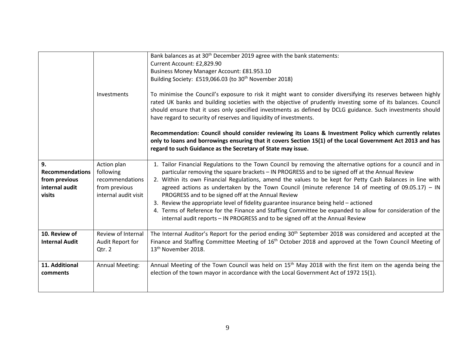|                                                                           | Investments                                                                          | Bank balances as at 30 <sup>th</sup> December 2019 agree with the bank statements:<br>Current Account: £2,829.90<br>Business Money Manager Account: £81.953.10<br>Building Society: £519,066.03 (to 30 <sup>th</sup> November 2018)<br>To minimise the Council's exposure to risk it might want to consider diversifying its reserves between highly<br>rated UK banks and building societies with the objective of prudently investing some of its balances. Council<br>should ensure that it uses only specified investments as defined by DCLG guidance. Such investments should<br>have regard to security of reserves and liquidity of investments.<br>Recommendation: Council should consider reviewing its Loans & Investment Policy which currently relates<br>only to loans and borrowings ensuring that it covers Section 15(1) of the Local Government Act 2013 and has<br>regard to such Guidance as the Secretary of State may issue. |
|---------------------------------------------------------------------------|--------------------------------------------------------------------------------------|----------------------------------------------------------------------------------------------------------------------------------------------------------------------------------------------------------------------------------------------------------------------------------------------------------------------------------------------------------------------------------------------------------------------------------------------------------------------------------------------------------------------------------------------------------------------------------------------------------------------------------------------------------------------------------------------------------------------------------------------------------------------------------------------------------------------------------------------------------------------------------------------------------------------------------------------------|
| 9.<br><b>Recommendations</b><br>from previous<br>internal audit<br>visits | Action plan<br>following<br>recommendations<br>from previous<br>internal audit visit | 1. Tailor Financial Regulations to the Town Council by removing the alternative options for a council and in<br>particular removing the square brackets - IN PROGRESS and to be signed off at the Annual Review<br>2. Within its own Financial Regulations, amend the values to be kept for Petty Cash Balances in line with<br>agreed actions as undertaken by the Town Council (minute reference 14 of meeting of $09.05.17$ ) - IN<br>PROGRESS and to be signed off at the Annual Review<br>3. Review the appropriate level of fidelity guarantee insurance being held - actioned<br>4. Terms of Reference for the Finance and Staffing Committee be expanded to allow for consideration of the<br>internal audit reports - IN PROGRESS and to be signed off at the Annual Review                                                                                                                                                               |
| 10. Review of<br><b>Internal Audit</b>                                    | Review of Internal<br>Audit Report for<br>Qtr. 2                                     | The Internal Auditor's Report for the period ending 30 <sup>th</sup> September 2018 was considered and accepted at the<br>Finance and Staffing Committee Meeting of 16 <sup>th</sup> October 2018 and approved at the Town Council Meeting of<br>13 <sup>th</sup> November 2018.                                                                                                                                                                                                                                                                                                                                                                                                                                                                                                                                                                                                                                                                   |
| 11. Additional<br>comments                                                | <b>Annual Meeting:</b>                                                               | Annual Meeting of the Town Council was held on $15th$ May 2018 with the first item on the agenda being the<br>election of the town mayor in accordance with the Local Government Act of 1972 15(1).                                                                                                                                                                                                                                                                                                                                                                                                                                                                                                                                                                                                                                                                                                                                                |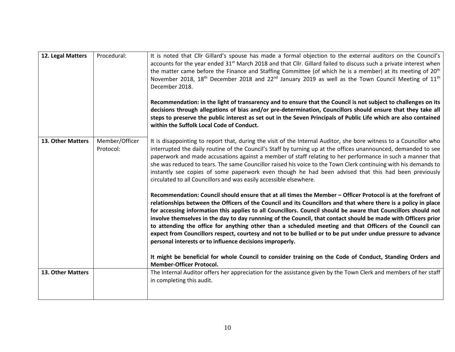| 12. Legal Matters | Procedural:                 | It is noted that Cllr Gillard's spouse has made a formal objection to the external auditors on the Council's<br>accounts for the year ended $31st$ March 2018 and that Cllr. Gillard failed to discuss such a private interest when<br>the matter came before the Finance and Staffing Committee (of which he is a member) at its meeting of 20 <sup>th</sup><br>November 2018, 18 <sup>th</sup> December 2018 and 22 <sup>nd</sup> January 2019 as well as the Town Council Meeting of 11 <sup>th</sup><br>December 2018.<br>Recommendation: in the light of transarency and to ensure that the Council is not subject to challenges on its<br>decisions through allegations of bias and/or pre-determination, Councillors should ensure that they take all<br>steps to preserve the public interest as set out in the Seven Principals of Public Life which are also contained<br>within the Suffolk Local Code of Conduct. |
|-------------------|-----------------------------|-------------------------------------------------------------------------------------------------------------------------------------------------------------------------------------------------------------------------------------------------------------------------------------------------------------------------------------------------------------------------------------------------------------------------------------------------------------------------------------------------------------------------------------------------------------------------------------------------------------------------------------------------------------------------------------------------------------------------------------------------------------------------------------------------------------------------------------------------------------------------------------------------------------------------------|
| 13. Other Matters | Member/Officer<br>Protocol: | It is disappointing to report that, during the visit of the Internal Auditor, she bore witness to a Councillor who<br>interrupted the daily routine of the Council's Staff by turning up at the offices unannounced, demanded to see<br>paperwork and made accusations against a member of staff relating to her performance in such a manner that<br>she was reduced to tears. The same Councillor raised his voice to the Town Clerk continuing with his demands to<br>instantly see copies of some paperwork even though he had been advised that this had been previously<br>circulated to all Councillors and was easily accessible elsewhere.                                                                                                                                                                                                                                                                           |
|                   |                             | Recommendation: Council should ensure that at all times the Member - Officer Protocol is at the forefront of<br>relationships between the Officers of the Council and its Councillors and that where there is a policy in place<br>for accessing information this applies to all Councillors. Council should be aware that Councillors should not<br>involve themselves in the day to day runnning of the Council, that contact should be made with Officers prior<br>to attending the office for anything other than a scheduled meeting and that Officers of the Council can<br>expect from Councillors respect, courtesy and not to be bullied or to be put under undue pressure to advance<br>personal interests or to influence decisions improperly.                                                                                                                                                                    |
|                   |                             | It might be beneficial for whole Council to consider training on the Code of Conduct, Standing Orders and<br><b>Member-Officer Protocol.</b>                                                                                                                                                                                                                                                                                                                                                                                                                                                                                                                                                                                                                                                                                                                                                                                  |
| 13. Other Matters |                             | The Internal Auditor offers her appreciation for the assistance given by the Town Clerk and members of her staff<br>in completing this audit.                                                                                                                                                                                                                                                                                                                                                                                                                                                                                                                                                                                                                                                                                                                                                                                 |